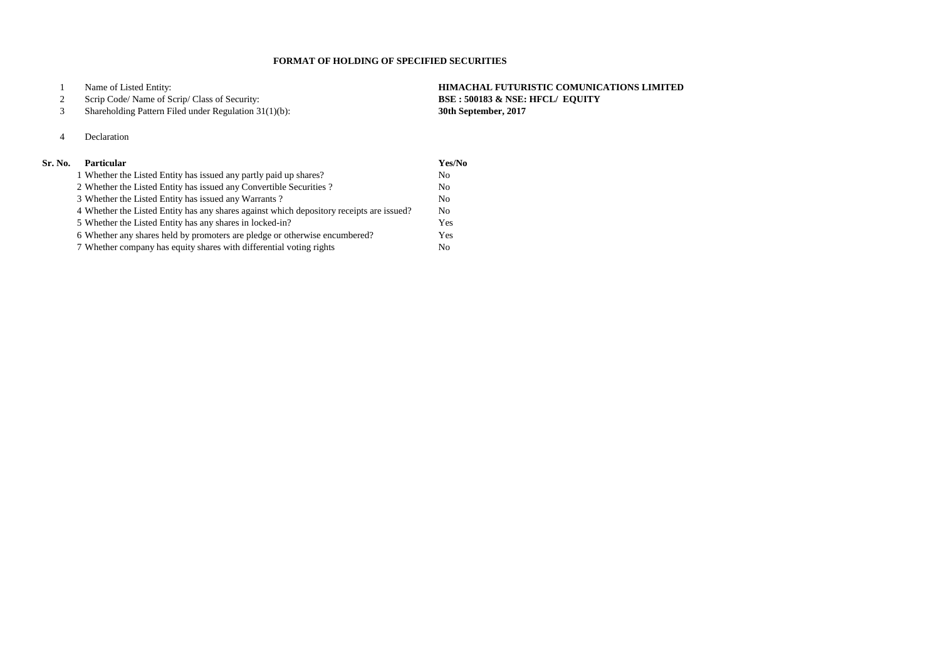Name of Listed Entity: **HIMACHAL FUTURISTIC COMUNICATIONS LIMITED**

#### Scrip Code/ Name of Scrip/ Class of Security: **BSE : 500183 & NSE: HFCL/ EQUITY**

Shareholding Pattern Filed under Regulation 31(1)(b): **30th September, 2017**

# Declaration

# **Sr. No. Particular Yes/No**

| 1 Whether the Listed Entity has issued any partly paid up shares?                        | N <sub>0</sub> |
|------------------------------------------------------------------------------------------|----------------|
| 2 Whether the Listed Entity has issued any Convertible Securities?                       | N <sub>0</sub> |
| 3 Whether the Listed Entity has issued any Warrants?                                     | N <sub>0</sub> |
| 4 Whether the Listed Entity has any shares against which depository receipts are issued? | N <sub>0</sub> |
| 5 Whether the Listed Entity has any shares in locked-in?                                 | Yes            |
| 6 Whether any shares held by promoters are pledge or otherwise encumbered?               | Yes            |
| 7 Whether company has equity shares with differential voting rights                      | N <sub>0</sub> |

### **FORMAT OF HOLDING OF SPECIFIED SECURITIES**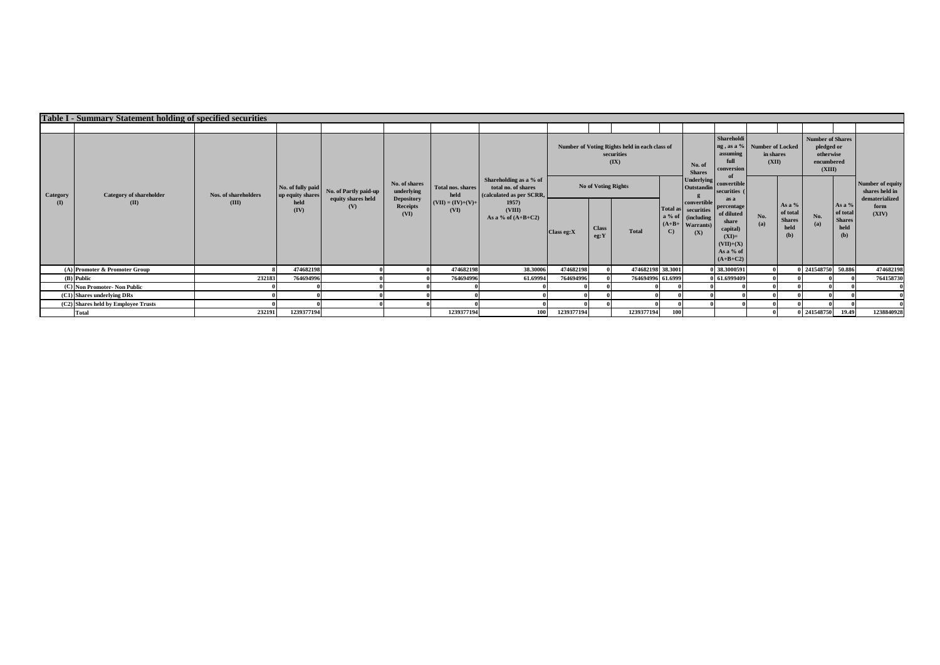|                             | <b>Table I - Summary Statement holding of specified securities</b> |                      |                                       |                           |                                       |                                  |                                                                           |             |                            |                                                                     |              |                                                                                     |                                                                                                                                         |                    |                                                      |                                                                            |                                                    |                                    |
|-----------------------------|--------------------------------------------------------------------|----------------------|---------------------------------------|---------------------------|---------------------------------------|----------------------------------|---------------------------------------------------------------------------|-------------|----------------------------|---------------------------------------------------------------------|--------------|-------------------------------------------------------------------------------------|-----------------------------------------------------------------------------------------------------------------------------------------|--------------------|------------------------------------------------------|----------------------------------------------------------------------------|----------------------------------------------------|------------------------------------|
|                             |                                                                    |                      |                                       |                           |                                       |                                  |                                                                           |             |                            |                                                                     |              |                                                                                     |                                                                                                                                         |                    |                                                      |                                                                            |                                                    |                                    |
| Category<br>$\mathbf{I}(I)$ |                                                                    |                      |                                       |                           |                                       |                                  |                                                                           |             |                            | Number of Voting Rights held in each class of<br>securities<br>(IX) |              | No. of<br><b>Shares</b>                                                             | Shareholdi<br>ng, as a % Number of Locked<br>assuming<br>full<br>conversion                                                             | in shares<br>(XII) |                                                      | <b>Number of Shares</b><br>pledged or<br>otherwise<br>encumbered<br>(XIII) |                                                    |                                    |
|                             | <b>Category of shareholder</b>                                     | Nos. of shareholders | No. of fully paid<br>up equity shares | No. of Partly paid-up     | No. of shares<br>underlying           | <b>Total nos, shares</b><br>held | Shareholding as a % of<br>total no. of shares<br>(calculated as per SCRR, |             | <b>No of Voting Rights</b> |                                                                     |              | <b>Underlying</b><br>Outstandin                                                     | convertible<br>securities<br>as a<br>percentage<br>of diluted<br>share<br>capital)<br>$(XI)=$<br>$(VII)+(X)$<br>As a % of<br>$(A+B+C2)$ | No.<br>(a)         | As a $%$<br>of total<br><b>Shares</b><br>held<br>(b) |                                                                            |                                                    | Number of equity<br>shares held in |
|                             | (II)                                                               | (III)                | held<br>(IV)                          | equity shares held<br>(V) | <b>Depository</b><br>Receipts<br>(VI) | $(VII) = (IV)+(V)+$<br>(VI)      | 1957<br>(VIII)<br>As a % of $(A+B+C2)$                                    | Class eg: X | <b>Class</b><br>eg:Y       | <b>Total</b>                                                        | $\mathbf{C}$ | convertible<br>Total as securities<br>a % of (including<br>$(A+B+$ Warrants)<br>(X) |                                                                                                                                         |                    |                                                      | No.<br>(a)                                                                 | As a %<br>of total<br><b>Shares</b><br>held<br>(b) | dematerialized<br>form<br>(XIV)    |
|                             | (A) Promoter & Promoter Group                                      |                      | 474682198                             |                           |                                       | 474682198                        | 38.30006                                                                  | 474682198   |                            | 474682198 38.3001                                                   |              |                                                                                     | 38.3000591                                                                                                                              |                    |                                                      | 0 241548750 50.886                                                         |                                                    | 474682198                          |
|                             | (B) Public                                                         | 232183               | 764694996                             |                           |                                       | 764694996                        | 61.69994                                                                  | 764694996   |                            | 764694996 61.6999                                                   |              |                                                                                     | 61.6999409                                                                                                                              |                    |                                                      |                                                                            |                                                    | 764158730                          |
|                             | (C) Non Promoter- Non Public                                       |                      |                                       |                           |                                       |                                  |                                                                           |             |                            |                                                                     |              |                                                                                     |                                                                                                                                         |                    |                                                      |                                                                            |                                                    |                                    |
|                             | (C1) Shares underlying DRs                                         |                      |                                       |                           |                                       |                                  |                                                                           |             |                            |                                                                     |              |                                                                                     |                                                                                                                                         |                    |                                                      |                                                                            |                                                    |                                    |
|                             | (C2) Shares held by Employee Trusts                                |                      |                                       |                           |                                       |                                  |                                                                           |             |                            |                                                                     |              |                                                                                     |                                                                                                                                         |                    |                                                      |                                                                            |                                                    |                                    |
|                             | <b>Total</b>                                                       | 232191               | 1239377194                            |                           |                                       | 1239377194                       | 100                                                                       | 1239377194  |                            | 1239377194                                                          | 100          |                                                                                     |                                                                                                                                         |                    |                                                      | 0 241548750                                                                | 19.49                                              | 1238840928                         |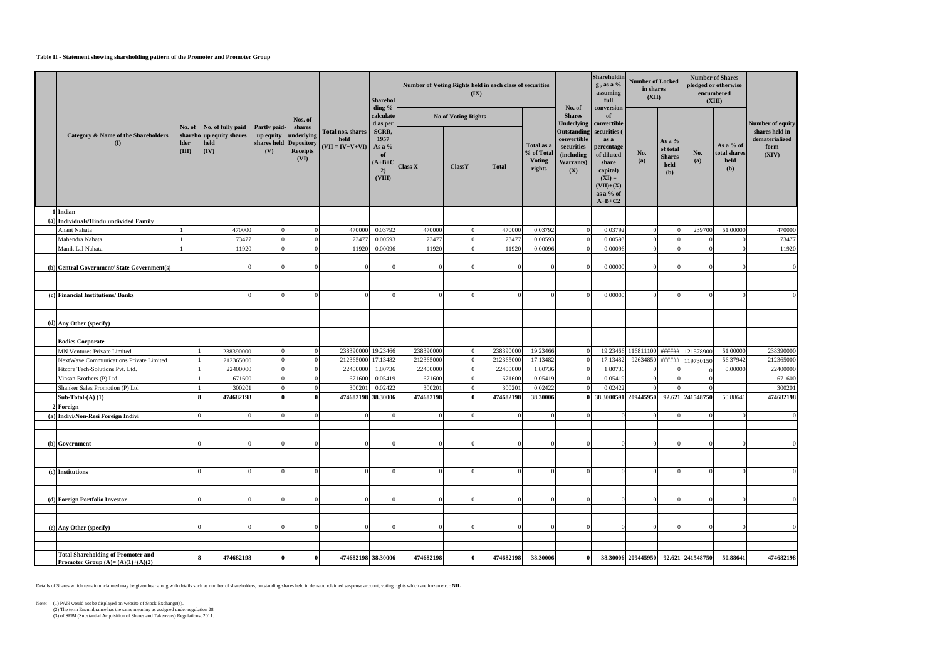#### **Table II - Statement showing shareholding pattern of the Promoter and Promoter Group**

|                                                                                 |                      |                                                                              |                                                                   |                                          |                                                | <b>Sharehol</b><br>ding %                                  |                |                            | Number of Voting Rights held in each class of securities<br>(IX) |                                                     |                                                                                   | Shareholdin<br>$g$ , as a $\%$<br>assuming<br>full                                                                        | <b>Number of Locked</b><br>in shares<br>(XII) |                                                      |                  | <b>Number of Shares</b><br>pledged or otherwise<br>encumbered<br>(XIII) |                                                   |
|---------------------------------------------------------------------------------|----------------------|------------------------------------------------------------------------------|-------------------------------------------------------------------|------------------------------------------|------------------------------------------------|------------------------------------------------------------|----------------|----------------------------|------------------------------------------------------------------|-----------------------------------------------------|-----------------------------------------------------------------------------------|---------------------------------------------------------------------------------------------------------------------------|-----------------------------------------------|------------------------------------------------------|------------------|-------------------------------------------------------------------------|---------------------------------------------------|
|                                                                                 |                      |                                                                              |                                                                   | Nos. of                                  |                                                | calculate<br>d as per                                      |                | <b>No of Voting Rights</b> |                                                                  |                                                     | No. of<br><b>Shares</b><br>Underlying                                             | conversion<br>of<br>convertible                                                                                           |                                               |                                                      |                  |                                                                         | Number of equity                                  |
| <b>Category &amp; Name of the Shareholders</b><br>(I)                           | <b>Ider</b><br>(III) | No. of No. of fully paid<br>shareho up equity shares<br>held<br>$\vert$ (IV) | <b>Partly paid-</b><br>up equity<br>shares held Depository<br>(V) | shares<br>underlying<br>Receipts<br>(VI) | Total nos. shares<br>held<br>$(VII = IV+V+VI)$ | SCRR,<br>1957<br>As a %<br>of<br>$(A+B+C)$<br>2)<br>(VIII) | <b>Class X</b> | <b>ClassY</b>              | <b>Total</b>                                                     | Total as a<br>% of Total<br><b>Voting</b><br>rights | <b>Outstanding</b><br>convertible<br>securities<br>(including<br>Warrants)<br>(X) | securities (<br>as a<br>percentage<br>of diluted<br>share<br>capital)<br>$(XI) =$<br>$(VII)+(X)$<br>as a % of<br>$A+B+C2$ | No.<br>(a)                                    | As a $%$<br>of total<br><b>Shares</b><br>held<br>(b) | No.<br>(a)       | As a % of<br>total shares<br>held<br>(b)                                | shares held in<br>dematerialized<br>form<br>(XIV) |
| 1 Indian                                                                        |                      |                                                                              |                                                                   |                                          |                                                |                                                            |                |                            |                                                                  |                                                     |                                                                                   |                                                                                                                           |                                               |                                                      |                  |                                                                         |                                                   |
| (a) Individuals/Hindu undivided Family                                          |                      |                                                                              |                                                                   |                                          |                                                |                                                            |                |                            |                                                                  |                                                     |                                                                                   |                                                                                                                           |                                               |                                                      |                  |                                                                         |                                                   |
| Anant Nahata                                                                    |                      | 470000                                                                       | $\Omega$                                                          |                                          | 470000                                         | 0.03792                                                    | 470000         |                            | 470000                                                           | 0.03792                                             | $\Omega$                                                                          | 0.03792                                                                                                                   | $\Omega$                                      | $\Omega$                                             | 239700           | 51.00000                                                                | 470000                                            |
| Mahendra Nahata                                                                 |                      | 73477                                                                        |                                                                   |                                          | 73477                                          | 0.00593                                                    | 73477          |                            | 73477                                                            | 0.00593                                             |                                                                                   | 0.00593                                                                                                                   |                                               | $\Omega$                                             |                  | $\Omega$                                                                | 73477                                             |
| Manik Lal Nahata                                                                |                      | 11920                                                                        |                                                                   |                                          | 11920                                          | 0.00096                                                    | 11920          |                            | 11920                                                            | 0.00096                                             |                                                                                   | 0.00096                                                                                                                   | $\Omega$                                      | $\Omega$                                             |                  | $\Omega$                                                                | 11920                                             |
| (b) Central Government/ State Government(s)                                     |                      |                                                                              |                                                                   | $\Omega$                                 | $\Omega$                                       |                                                            |                |                            | $\Omega$                                                         |                                                     |                                                                                   | 0.00000                                                                                                                   |                                               | $\Omega$                                             |                  | $\Omega$                                                                |                                                   |
|                                                                                 |                      |                                                                              |                                                                   |                                          |                                                |                                                            |                |                            |                                                                  |                                                     |                                                                                   |                                                                                                                           |                                               |                                                      |                  |                                                                         |                                                   |
|                                                                                 |                      |                                                                              |                                                                   |                                          |                                                |                                                            |                |                            |                                                                  |                                                     |                                                                                   |                                                                                                                           |                                               |                                                      |                  |                                                                         |                                                   |
| (c) Financial Institutions/Banks                                                |                      |                                                                              |                                                                   | $\Omega$                                 | $\Omega$                                       |                                                            |                |                            |                                                                  |                                                     |                                                                                   | 0.00000                                                                                                                   |                                               | $\Omega$                                             |                  | $\Omega$                                                                |                                                   |
|                                                                                 |                      |                                                                              |                                                                   |                                          |                                                |                                                            |                |                            |                                                                  |                                                     |                                                                                   |                                                                                                                           |                                               |                                                      |                  |                                                                         |                                                   |
| (d) Any Other (specify)                                                         |                      |                                                                              |                                                                   |                                          |                                                |                                                            |                |                            |                                                                  |                                                     |                                                                                   |                                                                                                                           |                                               |                                                      |                  |                                                                         |                                                   |
|                                                                                 |                      |                                                                              |                                                                   |                                          |                                                |                                                            |                |                            |                                                                  |                                                     |                                                                                   |                                                                                                                           |                                               |                                                      |                  |                                                                         |                                                   |
| <b>Bodies Corporate</b>                                                         |                      |                                                                              |                                                                   |                                          |                                                |                                                            |                |                            |                                                                  |                                                     |                                                                                   |                                                                                                                           |                                               |                                                      |                  |                                                                         |                                                   |
| MN Ventures Private Limited                                                     |                      | 238390000                                                                    | $\Omega$                                                          | $\Omega$                                 | 238390000 19.23466                             |                                                            | 238390000      |                            | 238390000                                                        | 19.23466                                            |                                                                                   |                                                                                                                           | 19.23466 116811100 ######                     |                                                      | 121578900        | 51.00000                                                                | 238390000                                         |
| NextWave Communications Private Limited                                         |                      | 212365000                                                                    | $\Omega$                                                          | $\Omega$                                 | 212365000 17.13482                             |                                                            | 212365000      |                            | 212365000                                                        | 17.13482                                            |                                                                                   | 17.13482                                                                                                                  | 92634850                                      | ######                                               | 119730150        | 56.37942                                                                | 212365000                                         |
| Fitcore Tech-Solutions Pvt. Ltd.                                                |                      | 22400000                                                                     | $\Omega$                                                          |                                          | 22400000                                       | 1.80736                                                    | 22400000       |                            | 22400000                                                         | 1.80736                                             |                                                                                   | 1.80736                                                                                                                   |                                               |                                                      |                  | 0.00000                                                                 | 22400000                                          |
| Vinsan Brothers (P) Ltd                                                         |                      | 671600                                                                       |                                                                   |                                          | 671600                                         | 0.05419                                                    | 671600         |                            | 671600                                                           | 0.05419                                             |                                                                                   | 0.05419                                                                                                                   | $\Omega$                                      | $\Omega$                                             |                  |                                                                         | 671600                                            |
| Shanker Sales Promotion (P) Ltd                                                 |                      | 300201                                                                       |                                                                   |                                          | 300201                                         | 0.02422                                                    | 300201         |                            | 300201                                                           | 0.02422                                             |                                                                                   | 0.02422                                                                                                                   |                                               |                                                      |                  |                                                                         | 300201                                            |
| Sub-Total- $(A)$ $(1)$                                                          |                      | 474682198                                                                    |                                                                   |                                          | 474682198 38.30006                             |                                                            | 474682198      |                            | 474682198                                                        | 38.30006                                            |                                                                                   | 0 38.3000591 209445950                                                                                                    |                                               |                                                      | 92.621 241548750 | 50.88641                                                                | 474682198                                         |
| <b>2 Foreign</b>                                                                |                      |                                                                              |                                                                   |                                          |                                                |                                                            |                |                            |                                                                  |                                                     |                                                                                   |                                                                                                                           |                                               |                                                      |                  |                                                                         |                                                   |
| (a) Indivi/Non-Resi Foreign Indivi                                              |                      |                                                                              |                                                                   |                                          | $\Omega$                                       |                                                            |                |                            |                                                                  |                                                     |                                                                                   | $\Omega$                                                                                                                  |                                               | $\Omega$                                             |                  |                                                                         |                                                   |
|                                                                                 |                      |                                                                              |                                                                   |                                          |                                                |                                                            |                |                            |                                                                  |                                                     |                                                                                   |                                                                                                                           |                                               |                                                      |                  |                                                                         |                                                   |
|                                                                                 | $\Omega$             |                                                                              |                                                                   | $\Omega$                                 | $\Omega$                                       |                                                            |                |                            |                                                                  |                                                     |                                                                                   | $\Omega$                                                                                                                  | $\Omega$                                      | $\Omega$                                             |                  | $\Omega$                                                                |                                                   |
| (b) Government                                                                  |                      |                                                                              |                                                                   |                                          |                                                |                                                            |                |                            |                                                                  |                                                     |                                                                                   |                                                                                                                           |                                               |                                                      |                  |                                                                         |                                                   |
|                                                                                 |                      |                                                                              |                                                                   |                                          |                                                |                                                            |                |                            |                                                                  |                                                     |                                                                                   |                                                                                                                           |                                               |                                                      |                  |                                                                         |                                                   |
| (c) Institutions                                                                | $\Omega$             |                                                                              |                                                                   |                                          | $\Omega$                                       |                                                            |                |                            |                                                                  |                                                     |                                                                                   |                                                                                                                           |                                               | $\Omega$                                             |                  | $\Omega$                                                                |                                                   |
|                                                                                 |                      |                                                                              |                                                                   |                                          |                                                |                                                            |                |                            |                                                                  |                                                     |                                                                                   |                                                                                                                           |                                               |                                                      |                  |                                                                         |                                                   |
|                                                                                 |                      |                                                                              |                                                                   |                                          |                                                |                                                            |                |                            |                                                                  |                                                     |                                                                                   |                                                                                                                           |                                               |                                                      |                  |                                                                         |                                                   |
| (d) Foreign Portfolio Investor                                                  | $\Omega$             |                                                                              |                                                                   | $\Omega$                                 |                                                |                                                            |                |                            |                                                                  |                                                     |                                                                                   |                                                                                                                           |                                               | $\Omega$                                             |                  | $\Omega$                                                                |                                                   |
|                                                                                 |                      |                                                                              |                                                                   |                                          |                                                |                                                            |                |                            |                                                                  |                                                     |                                                                                   |                                                                                                                           |                                               |                                                      |                  |                                                                         |                                                   |
|                                                                                 |                      |                                                                              |                                                                   |                                          |                                                |                                                            |                |                            |                                                                  |                                                     |                                                                                   |                                                                                                                           |                                               |                                                      |                  |                                                                         |                                                   |
| (e) Any Other (specify)                                                         | $\Omega$             |                                                                              | $\Omega$                                                          | $\Omega$                                 | $\Omega$                                       |                                                            |                |                            | $\Omega$                                                         |                                                     | $\Omega$                                                                          | $\Omega$                                                                                                                  |                                               | $\Omega$                                             |                  | $\Omega$                                                                |                                                   |
|                                                                                 |                      |                                                                              |                                                                   |                                          |                                                |                                                            |                |                            |                                                                  |                                                     |                                                                                   |                                                                                                                           |                                               |                                                      |                  |                                                                         |                                                   |
|                                                                                 |                      |                                                                              |                                                                   |                                          |                                                |                                                            |                |                            |                                                                  |                                                     |                                                                                   |                                                                                                                           |                                               |                                                      |                  |                                                                         |                                                   |
| <b>Total Shareholding of Promoter and</b><br>Promoter Group $(A)=(A)(1)+(A)(2)$ | 8                    | 474682198                                                                    | 0                                                                 | $\mathbf{0}$                             | 474682198 38.30006                             |                                                            | 474682198      |                            | 474682198                                                        | 38.30006                                            | $\theta$                                                                          |                                                                                                                           | 38.30006 209445950                            |                                                      | 92.621 241548750 | 50.88641                                                                | 474682198                                         |

Details of Shares which remain unclaimed may be given hear along with details such as number of shareholders, outstanding shares held in demat/unclaimed suspense account, voting rights which are frozen etc. : **NIL**

Note: (1) PAN would not be displayed on website of Stock Exchange(s).

(2) The term Encumbrance has the same meaning as assigned under regulation 28

(3) of SEBI (Substantial Acquisition of Shares and Takeovers) Regulations, 2011.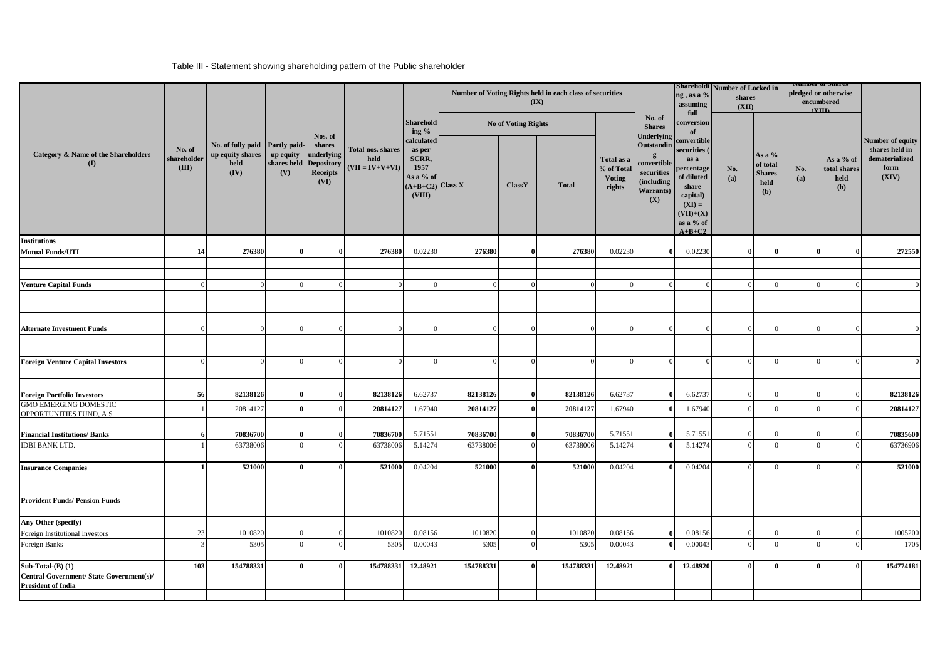#### Table III - Statement showing shareholding pattern of the Public shareholder

|                                                         |                                |                                                                |                                         | Nos. of<br>shares<br>underlying<br>shares held Depository<br>Receipts<br>(VI) |                                                | Sharehold<br>ing $\%$<br>calculated<br>as per<br>SCRR,<br>1957<br>As a % of<br>$(A+B+C2)$ Class X<br>(VIII) |                            |            | Number of Voting Rights held in each class of securities<br>$(\mathbf{IX})$ |                                                     |                                                                                              | ng, as a %<br>assuming<br>full                                                                                                           | Shareholdi Number of Locked in<br>shares<br>(XII) |                                                    | <b>NUMBER OF SHAFT</b><br>pledged or otherwise<br>encumbered<br>$\alpha$ III |                                          |                                                                       |
|---------------------------------------------------------|--------------------------------|----------------------------------------------------------------|-----------------------------------------|-------------------------------------------------------------------------------|------------------------------------------------|-------------------------------------------------------------------------------------------------------------|----------------------------|------------|-----------------------------------------------------------------------------|-----------------------------------------------------|----------------------------------------------------------------------------------------------|------------------------------------------------------------------------------------------------------------------------------------------|---------------------------------------------------|----------------------------------------------------|------------------------------------------------------------------------------|------------------------------------------|-----------------------------------------------------------------------|
|                                                         |                                |                                                                | <b>Partly paid-</b><br>up equity<br>(V) |                                                                               | Total nos. shares<br>held<br>$(VII = IV+V+VI)$ |                                                                                                             | <b>No of Voting Rights</b> |            |                                                                             |                                                     | No. of<br><b>Shares</b>                                                                      | conversion<br>of                                                                                                                         |                                                   |                                                    |                                                                              |                                          |                                                                       |
| Category & Name of the Shareholders<br>$\mathbf{I}$     | No. of<br>shareholder<br>(III) | No. of fully paid<br>up equity shares<br>$\bold{held}$<br>(IV) |                                         |                                                                               |                                                |                                                                                                             |                            | ClassY     | <b>Total</b>                                                                | Total as a<br>% of Total<br><b>Voting</b><br>rights | Underlying<br>Outstandin<br>g<br>convertible<br>securities<br>(including<br>Warrants)<br>(X) | convertible<br>securities (<br>as a<br>percentage<br>of diluted<br>share<br>capital)<br>$(XI) =$<br>$(VII)+(X)$<br>as a % of<br>$A+B+C2$ | No.<br>(a)                                        | As a %<br>of total<br><b>Shares</b><br>held<br>(b) | No.<br>(a)                                                                   | As a % of<br>total shares<br>held<br>(b) | Number of equity<br>shares held in<br>dematerialized<br>form<br>(XIV) |
| <b>Institutions</b>                                     |                                |                                                                |                                         |                                                                               |                                                |                                                                                                             |                            |            |                                                                             |                                                     |                                                                                              |                                                                                                                                          |                                                   |                                                    |                                                                              |                                          |                                                                       |
| <b>Mutual Funds/UTI</b>                                 | 14                             | 276380                                                         | $\theta$                                | $\mathbf{0}$                                                                  | 276380                                         | 0.02230                                                                                                     | 276380                     | $\theta$   | 276380                                                                      | 0.02230                                             |                                                                                              | 0.02230                                                                                                                                  | $\bf{0}$                                          | $\Omega$                                           | $\theta$                                                                     | $\mathbf{0}$                             | 272550                                                                |
|                                                         |                                |                                                                |                                         |                                                                               |                                                |                                                                                                             |                            |            |                                                                             |                                                     |                                                                                              |                                                                                                                                          |                                                   |                                                    |                                                                              |                                          |                                                                       |
| <b>Venture Capital Funds</b>                            |                                | $\Omega$                                                       |                                         |                                                                               |                                                | $\Omega$                                                                                                    |                            |            |                                                                             |                                                     |                                                                                              |                                                                                                                                          |                                                   |                                                    | $\Omega$                                                                     | $\Omega$                                 |                                                                       |
|                                                         |                                |                                                                |                                         |                                                                               |                                                |                                                                                                             |                            |            |                                                                             |                                                     |                                                                                              |                                                                                                                                          |                                                   |                                                    |                                                                              |                                          |                                                                       |
|                                                         |                                |                                                                |                                         |                                                                               |                                                |                                                                                                             |                            |            |                                                                             |                                                     |                                                                                              |                                                                                                                                          |                                                   |                                                    |                                                                              |                                          |                                                                       |
|                                                         |                                |                                                                |                                         |                                                                               |                                                |                                                                                                             |                            |            |                                                                             |                                                     |                                                                                              |                                                                                                                                          |                                                   |                                                    |                                                                              |                                          |                                                                       |
| <b>Alternate Investment Funds</b>                       | $\Omega$                       | $\overline{0}$                                                 |                                         |                                                                               | $\Omega$                                       | $\Omega$                                                                                                    |                            |            | $\Omega$                                                                    |                                                     |                                                                                              |                                                                                                                                          | $\Omega$                                          |                                                    | $\Omega$                                                                     | $\Omega$                                 |                                                                       |
|                                                         |                                |                                                                |                                         |                                                                               |                                                |                                                                                                             |                            |            |                                                                             |                                                     |                                                                                              |                                                                                                                                          |                                                   |                                                    |                                                                              |                                          |                                                                       |
|                                                         |                                |                                                                |                                         |                                                                               |                                                |                                                                                                             |                            |            |                                                                             |                                                     |                                                                                              |                                                                                                                                          |                                                   |                                                    |                                                                              |                                          |                                                                       |
| <b>Foreign Venture Capital Investors</b>                |                                | $\Omega$                                                       |                                         |                                                                               |                                                | -0                                                                                                          |                            |            | $\Omega$                                                                    |                                                     |                                                                                              |                                                                                                                                          |                                                   |                                                    |                                                                              | $\Omega$                                 |                                                                       |
|                                                         |                                |                                                                |                                         |                                                                               |                                                |                                                                                                             |                            |            |                                                                             |                                                     |                                                                                              |                                                                                                                                          |                                                   |                                                    |                                                                              |                                          |                                                                       |
|                                                         |                                |                                                                |                                         |                                                                               |                                                |                                                                                                             |                            |            |                                                                             |                                                     |                                                                                              |                                                                                                                                          |                                                   |                                                    |                                                                              |                                          |                                                                       |
| <b>Foreign Portfolio Investors</b>                      | 56                             | 82138126                                                       |                                         | $\mathbf{0}$                                                                  | 82138126                                       | 6.62737                                                                                                     | 82138126                   | $\bf{0}$   | 82138126                                                                    | 6.62737                                             |                                                                                              | 6.62737                                                                                                                                  | $\Omega$                                          |                                                    | $\Omega$                                                                     | $\Omega$                                 | 82138126                                                              |
| <b>GMO EMERGING DOMESTIC</b><br>OPPORTUNITIES FUND, A S |                                | 20814127                                                       |                                         | $\mathbf{0}$                                                                  | 20814127                                       | 1.67940                                                                                                     | 20814127                   | $\theta$   | 20814127                                                                    | 1.67940                                             |                                                                                              | 1.67940                                                                                                                                  | $\Omega$                                          |                                                    |                                                                              |                                          | 20814127                                                              |
| <b>Financial Institutions/Banks</b>                     |                                | 70836700                                                       |                                         |                                                                               | 70836700                                       | 5.71551                                                                                                     | 70836700                   |            | 70836700                                                                    | 5.71551                                             |                                                                                              | 5.7155                                                                                                                                   |                                                   |                                                    |                                                                              |                                          | 70835600                                                              |
| <b>IDBI BANK LTD.</b>                                   |                                | 63738006                                                       |                                         | $\Omega$                                                                      | 63738006                                       | 5.14274                                                                                                     | 63738006                   |            | 63738006                                                                    | 5.14274                                             |                                                                                              | 5.14274                                                                                                                                  | $\Omega$                                          |                                                    | $\sqrt{ }$                                                                   | $\Omega$                                 | 63736906                                                              |
|                                                         |                                |                                                                |                                         |                                                                               |                                                |                                                                                                             |                            |            |                                                                             |                                                     |                                                                                              |                                                                                                                                          |                                                   |                                                    |                                                                              |                                          |                                                                       |
| <b>Insurance Companies</b>                              |                                | 521000                                                         |                                         |                                                                               | 521000                                         | 0.04204                                                                                                     | 521000                     | $\theta$   | 521000                                                                      | 0.04204                                             |                                                                                              | 0.04204                                                                                                                                  | $\Omega$                                          |                                                    | $\Omega$                                                                     | $\Omega$                                 | 521000                                                                |
|                                                         |                                |                                                                |                                         |                                                                               |                                                |                                                                                                             |                            |            |                                                                             |                                                     |                                                                                              |                                                                                                                                          |                                                   |                                                    |                                                                              |                                          |                                                                       |
|                                                         |                                |                                                                |                                         |                                                                               |                                                |                                                                                                             |                            |            |                                                                             |                                                     |                                                                                              |                                                                                                                                          |                                                   |                                                    |                                                                              |                                          |                                                                       |
| <b>Provident Funds/ Pension Funds</b>                   |                                |                                                                |                                         |                                                                               |                                                |                                                                                                             |                            |            |                                                                             |                                                     |                                                                                              |                                                                                                                                          |                                                   |                                                    |                                                                              |                                          |                                                                       |
|                                                         |                                |                                                                |                                         |                                                                               |                                                |                                                                                                             |                            |            |                                                                             |                                                     |                                                                                              |                                                                                                                                          |                                                   |                                                    |                                                                              |                                          |                                                                       |
| Any Other (specify)                                     |                                |                                                                |                                         |                                                                               |                                                |                                                                                                             |                            |            |                                                                             |                                                     |                                                                                              |                                                                                                                                          |                                                   |                                                    |                                                                              |                                          |                                                                       |
| Foreign Institutional Investors                         | 23                             | 1010820                                                        |                                         |                                                                               | 1010820                                        | 0.08156                                                                                                     | 1010820                    | $^{\circ}$ | 1010820                                                                     | 0.08156                                             |                                                                                              | 0.08156                                                                                                                                  | $\Omega$                                          |                                                    | $\Omega$                                                                     | $\Omega$                                 | 1005200                                                               |
| Foreign Banks                                           | -3                             | 5305                                                           |                                         |                                                                               | 5305                                           | 0.00043                                                                                                     | 5305                       | $\Omega$   | 5305                                                                        | 0.00043                                             |                                                                                              | 0.00043                                                                                                                                  | $\Omega$                                          |                                                    | $\Omega$                                                                     | $\Omega$                                 | 1705                                                                  |
| Sub-Total- $(B)$ (1)                                    | 103                            | 154788331                                                      |                                         | $\mathbf{0}$                                                                  | 154788331                                      | 12.48921                                                                                                    | 154788331                  | $\theta$   | 154788331                                                                   | 12.48921                                            | $\Omega$                                                                                     | 12.48920                                                                                                                                 | $\theta$                                          |                                                    | $\mathbf{0}$                                                                 | $\theta$                                 | 154774181                                                             |
| Central Government/ State Government(s)/                |                                |                                                                |                                         |                                                                               |                                                |                                                                                                             |                            |            |                                                                             |                                                     |                                                                                              |                                                                                                                                          |                                                   |                                                    |                                                                              |                                          |                                                                       |
| <b>President of India</b>                               |                                |                                                                |                                         |                                                                               |                                                |                                                                                                             |                            |            |                                                                             |                                                     |                                                                                              |                                                                                                                                          |                                                   |                                                    |                                                                              |                                          |                                                                       |